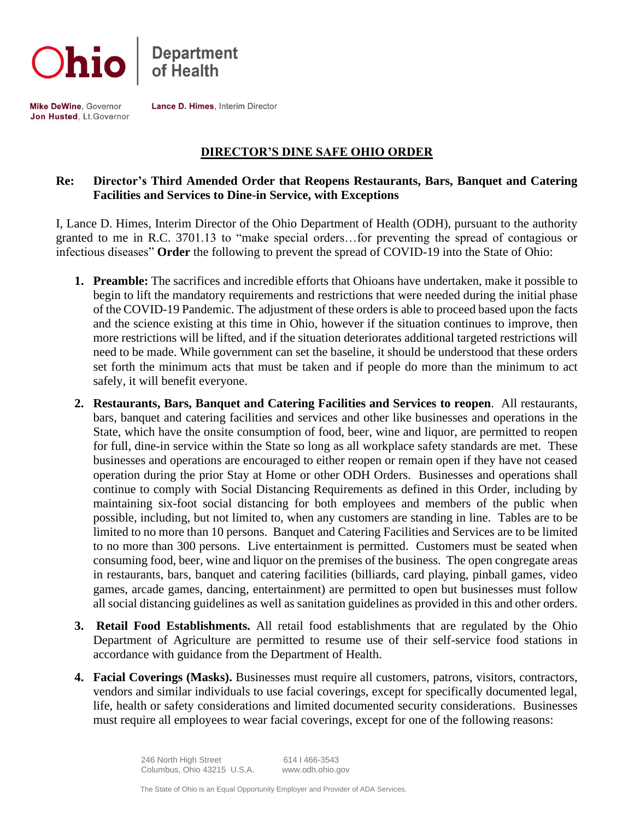



Mike DeWine, Governor Jon Husted, Lt.Governor Lance D. Himes, Interim Director

## **DIRECTOR'S DINE SAFE OHIO ORDER**

## **Re: Director's Third Amended Order that Reopens Restaurants, Bars, Banquet and Catering Facilities and Services to Dine-in Service, with Exceptions**

I, Lance D. Himes, Interim Director of the Ohio Department of Health (ODH), pursuant to the authority granted to me in R.C. 3701.13 to "make special orders…for preventing the spread of contagious or infectious diseases" **Order** the following to prevent the spread of COVID-19 into the State of Ohio:

- **1. Preamble:** The sacrifices and incredible efforts that Ohioans have undertaken, make it possible to begin to lift the mandatory requirements and restrictions that were needed during the initial phase of the COVID-19 Pandemic. The adjustment of these orders is able to proceed based upon the facts and the science existing at this time in Ohio, however if the situation continues to improve, then more restrictions will be lifted, and if the situation deteriorates additional targeted restrictions will need to be made. While government can set the baseline, it should be understood that these orders set forth the minimum acts that must be taken and if people do more than the minimum to act safely, it will benefit everyone.
- **2. Restaurants, Bars, Banquet and Catering Facilities and Services to reopen**. All restaurants, bars, banquet and catering facilities and services and other like businesses and operations in the State, which have the onsite consumption of food, beer, wine and liquor, are permitted to reopen for full, dine-in service within the State so long as all workplace safety standards are met. These businesses and operations are encouraged to either reopen or remain open if they have not ceased operation during the prior Stay at Home or other ODH Orders. Businesses and operations shall continue to comply with Social Distancing Requirements as defined in this Order, including by maintaining six-foot social distancing for both employees and members of the public when possible, including, but not limited to, when any customers are standing in line. Tables are to be limited to no more than 10 persons. Banquet and Catering Facilities and Services are to be limited to no more than 300 persons. Live entertainment is permitted. Customers must be seated when consuming food, beer, wine and liquor on the premises of the business. The open congregate areas in restaurants, bars, banquet and catering facilities (billiards, card playing, pinball games, video games, arcade games, dancing, entertainment) are permitted to open but businesses must follow all social distancing guidelines as well as sanitation guidelines as provided in this and other orders.
- **3. Retail Food Establishments.** All retail food establishments that are regulated by the Ohio Department of Agriculture are permitted to resume use of their self-service food stations in accordance with guidance from the Department of Health.
- **4. Facial Coverings (Masks).** Businesses must require all customers, patrons, visitors, contractors, vendors and similar individuals to use facial coverings, except for specifically documented legal, life, health or safety considerations and limited documented security considerations. Businesses must require all employees to wear facial coverings, except for one of the following reasons: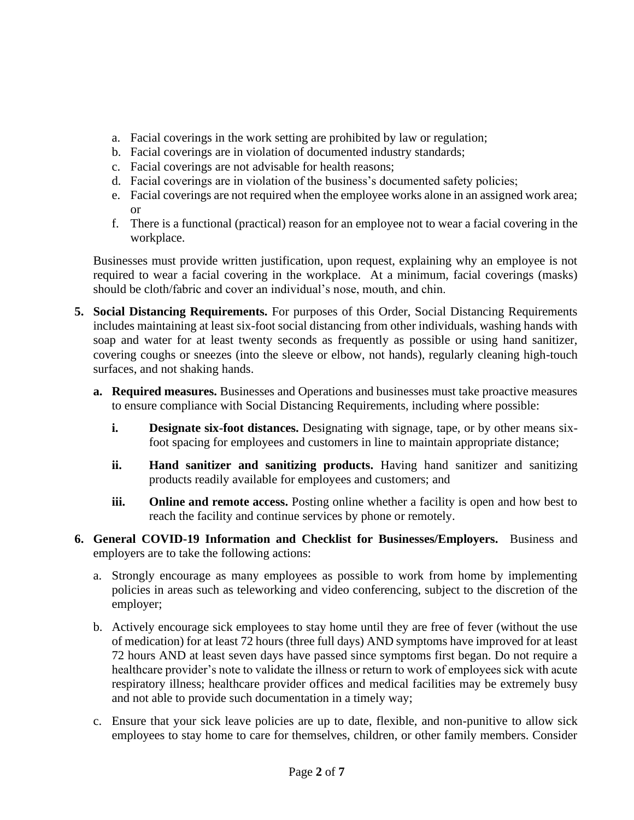- a. Facial coverings in the work setting are prohibited by law or regulation;
- b. Facial coverings are in violation of documented industry standards;
- c. Facial coverings are not advisable for health reasons;
- d. Facial coverings are in violation of the business's documented safety policies;
- e. Facial coverings are not required when the employee works alone in an assigned work area; or
- f. There is a functional (practical) reason for an employee not to wear a facial covering in the workplace.

Businesses must provide written justification, upon request, explaining why an employee is not required to wear a facial covering in the workplace. At a minimum, facial coverings (masks) should be cloth/fabric and cover an individual's nose, mouth, and chin.

- **5. Social Distancing Requirements.** For purposes of this Order, Social Distancing Requirements includes maintaining at least six-foot social distancing from other individuals, washing hands with soap and water for at least twenty seconds as frequently as possible or using hand sanitizer, covering coughs or sneezes (into the sleeve or elbow, not hands), regularly cleaning high-touch surfaces, and not shaking hands.
	- **a. Required measures.** Businesses and Operations and businesses must take proactive measures to ensure compliance with Social Distancing Requirements, including where possible:
		- **i. Designate six-foot distances.** Designating with signage, tape, or by other means sixfoot spacing for employees and customers in line to maintain appropriate distance;
		- **ii. Hand sanitizer and sanitizing products.** Having hand sanitizer and sanitizing products readily available for employees and customers; and
		- **iii. Online and remote access.** Posting online whether a facility is open and how best to reach the facility and continue services by phone or remotely.
- **6. General COVID-19 Information and Checklist for Businesses/Employers.** Business and employers are to take the following actions:
	- a. Strongly encourage as many employees as possible to work from home by implementing policies in areas such as teleworking and video conferencing, subject to the discretion of the employer;
	- b. Actively encourage sick employees to stay home until they are free of fever (without the use of medication) for at least 72 hours (three full days) AND symptoms have improved for at least 72 hours AND at least seven days have passed since symptoms first began. Do not require a healthcare provider's note to validate the illness or return to work of employees sick with acute respiratory illness; healthcare provider offices and medical facilities may be extremely busy and not able to provide such documentation in a timely way;
	- c. Ensure that your sick leave policies are up to date, flexible, and non-punitive to allow sick employees to stay home to care for themselves, children, or other family members. Consider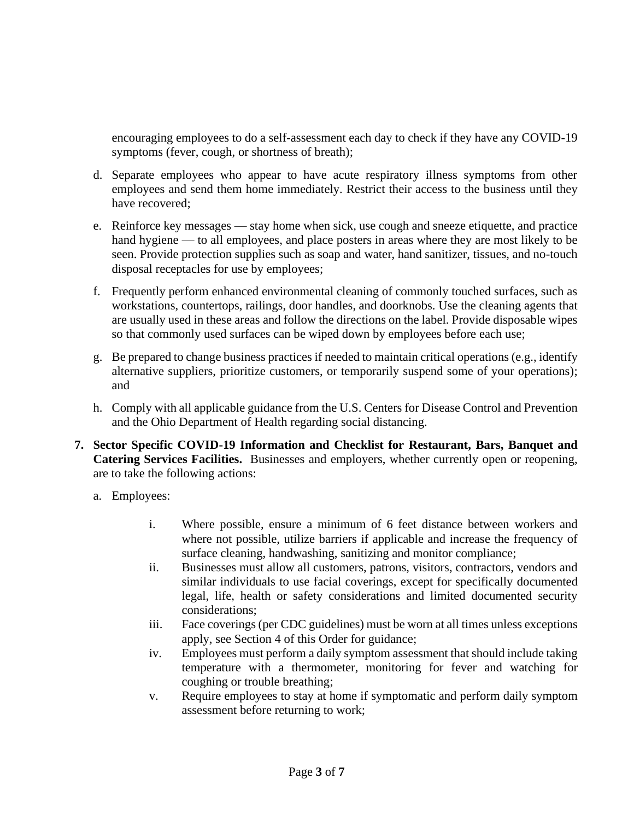encouraging employees to do a self-assessment each day to check if they have any COVID-19 symptoms (fever, cough, or shortness of breath);

- d. Separate employees who appear to have acute respiratory illness symptoms from other employees and send them home immediately. Restrict their access to the business until they have recovered;
- e. Reinforce key messages stay home when sick, use cough and sneeze etiquette, and practice hand hygiene — to all employees, and place posters in areas where they are most likely to be seen. Provide protection supplies such as soap and water, hand sanitizer, tissues, and no-touch disposal receptacles for use by employees;
- f. Frequently perform enhanced environmental cleaning of commonly touched surfaces, such as workstations, countertops, railings, door handles, and doorknobs. Use the cleaning agents that are usually used in these areas and follow the directions on the label. Provide disposable wipes so that commonly used surfaces can be wiped down by employees before each use;
- g. Be prepared to change business practices if needed to maintain critical operations (e.g., identify alternative suppliers, prioritize customers, or temporarily suspend some of your operations); and
- h. Comply with all applicable guidance from the U.S. Centers for Disease Control and Prevention and the Ohio Department of Health regarding social distancing.
- **7. Sector Specific COVID-19 Information and Checklist for Restaurant, Bars, Banquet and Catering Services Facilities.** Businesses and employers, whether currently open or reopening, are to take the following actions:
	- a. Employees:
		- i. Where possible, ensure a minimum of 6 feet distance between workers and where not possible, utilize barriers if applicable and increase the frequency of surface cleaning, handwashing, sanitizing and monitor compliance;
		- ii. Businesses must allow all customers, patrons, visitors, contractors, vendors and similar individuals to use facial coverings, except for specifically documented legal, life, health or safety considerations and limited documented security considerations;
		- iii. Face coverings (per CDC guidelines) must be worn at all times unless exceptions apply, see Section 4 of this Order for guidance;
		- iv. Employees must perform a daily symptom assessment that should include taking temperature with a thermometer, monitoring for fever and watching for coughing or trouble breathing;
		- v. Require employees to stay at home if symptomatic and perform daily symptom assessment before returning to work;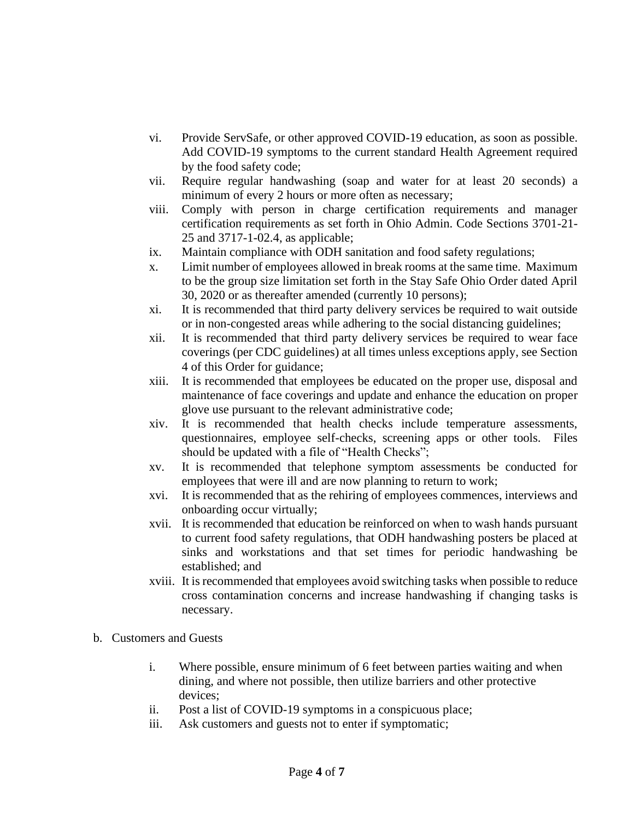- vi. Provide ServSafe, or other approved COVID-19 education, as soon as possible. Add COVID-19 symptoms to the current standard Health Agreement required by the food safety code;
- vii. Require regular handwashing (soap and water for at least 20 seconds) a minimum of every 2 hours or more often as necessary;
- viii. Comply with person in charge certification requirements and manager certification requirements as set forth in Ohio Admin. Code Sections 3701-21- 25 and 3717-1-02.4, as applicable;
- ix. Maintain compliance with ODH sanitation and food safety regulations;
- x. Limit number of employees allowed in break rooms at the same time. Maximum to be the group size limitation set forth in the Stay Safe Ohio Order dated April 30, 2020 or as thereafter amended (currently 10 persons);
- xi. It is recommended that third party delivery services be required to wait outside or in non-congested areas while adhering to the social distancing guidelines;
- xii. It is recommended that third party delivery services be required to wear face coverings (per CDC guidelines) at all times unless exceptions apply, see Section 4 of this Order for guidance;
- xiii. It is recommended that employees be educated on the proper use, disposal and maintenance of face coverings and update and enhance the education on proper glove use pursuant to the relevant administrative code;
- xiv. It is recommended that health checks include temperature assessments, questionnaires, employee self-checks, screening apps or other tools. Files should be updated with a file of "Health Checks";
- xv. It is recommended that telephone symptom assessments be conducted for employees that were ill and are now planning to return to work;
- xvi. It is recommended that as the rehiring of employees commences, interviews and onboarding occur virtually;
- xvii. It is recommended that education be reinforced on when to wash hands pursuant to current food safety regulations, that ODH handwashing posters be placed at sinks and workstations and that set times for periodic handwashing be established; and
- xviii. It is recommended that employees avoid switching tasks when possible to reduce cross contamination concerns and increase handwashing if changing tasks is necessary.
- b. Customers and Guests
	- i. Where possible, ensure minimum of 6 feet between parties waiting and when dining, and where not possible, then utilize barriers and other protective devices;
	- ii. Post a list of COVID-19 symptoms in a conspicuous place;
	- iii. Ask customers and guests not to enter if symptomatic;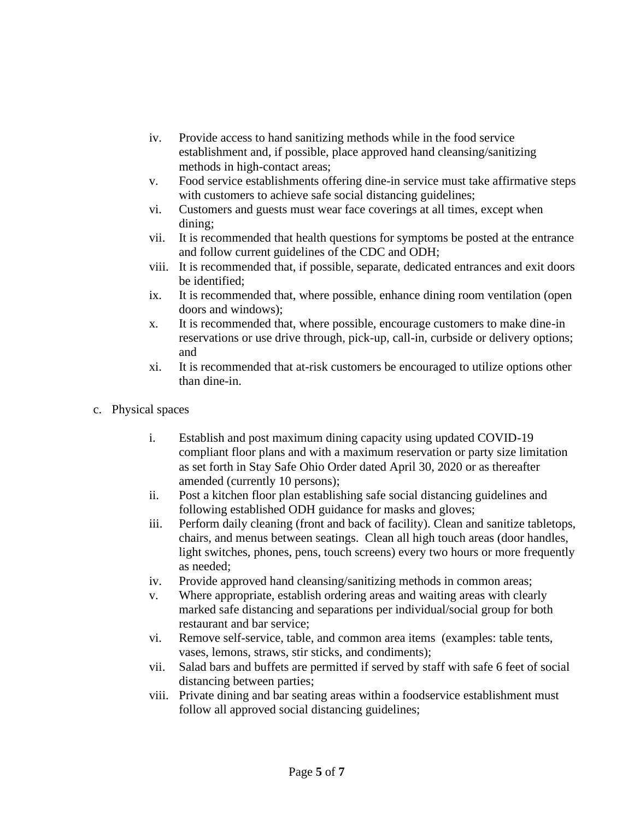- iv. Provide access to hand sanitizing methods while in the food service establishment and, if possible, place approved hand cleansing/sanitizing methods in high-contact areas;
- v. Food service establishments offering dine-in service must take affirmative steps with customers to achieve safe social distancing guidelines;
- vi. Customers and guests must wear face coverings at all times, except when dining;
- vii. It is recommended that health questions for symptoms be posted at the entrance and follow current guidelines of the CDC and ODH;
- viii. It is recommended that, if possible, separate, dedicated entrances and exit doors be identified;
- ix. It is recommended that, where possible, enhance dining room ventilation (open doors and windows);
- x. It is recommended that, where possible, encourage customers to make dine-in reservations or use drive through, pick-up, call-in, curbside or delivery options; and
- xi. It is recommended that at-risk customers be encouraged to utilize options other than dine-in.
- c. Physical spaces
	- i. Establish and post maximum dining capacity using updated COVID-19 compliant floor plans and with a maximum reservation or party size limitation as set forth in Stay Safe Ohio Order dated April 30, 2020 or as thereafter amended (currently 10 persons);
	- ii. Post a kitchen floor plan establishing safe social distancing guidelines and following established ODH guidance for masks and gloves;
	- iii. Perform daily cleaning (front and back of facility). Clean and sanitize tabletops, chairs, and menus between seatings. Clean all high touch areas (door handles, light switches, phones, pens, touch screens) every two hours or more frequently as needed;
	- iv. Provide approved hand cleansing/sanitizing methods in common areas;
	- v. Where appropriate, establish ordering areas and waiting areas with clearly marked safe distancing and separations per individual/social group for both restaurant and bar service;
	- vi. Remove self-service, table, and common area items (examples: table tents, vases, lemons, straws, stir sticks, and condiments);
	- vii. Salad bars and buffets are permitted if served by staff with safe 6 feet of social distancing between parties;
	- viii. Private dining and bar seating areas within a foodservice establishment must follow all approved social distancing guidelines;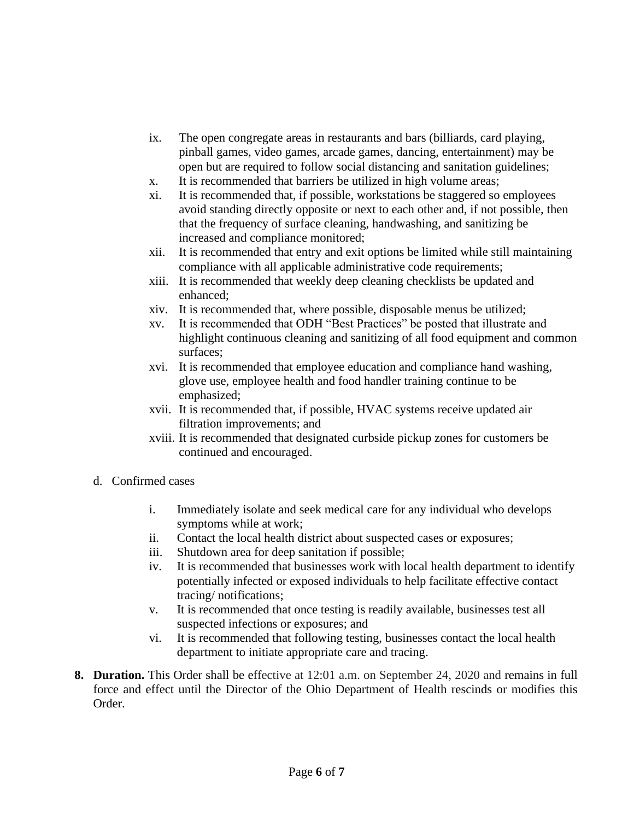- ix. The open congregate areas in restaurants and bars (billiards, card playing, pinball games, video games, arcade games, dancing, entertainment) may be open but are required to follow social distancing and sanitation guidelines;
- x. It is recommended that barriers be utilized in high volume areas;
- xi. It is recommended that, if possible, workstations be staggered so employees avoid standing directly opposite or next to each other and, if not possible, then that the frequency of surface cleaning, handwashing, and sanitizing be increased and compliance monitored;
- xii. It is recommended that entry and exit options be limited while still maintaining compliance with all applicable administrative code requirements;
- xiii. It is recommended that weekly deep cleaning checklists be updated and enhanced;
- xiv. It is recommended that, where possible, disposable menus be utilized;
- xv. It is recommended that ODH "Best Practices" be posted that illustrate and highlight continuous cleaning and sanitizing of all food equipment and common surfaces;
- xvi. It is recommended that employee education and compliance hand washing, glove use, employee health and food handler training continue to be emphasized;
- xvii. It is recommended that, if possible, HVAC systems receive updated air filtration improvements; and
- xviii. It is recommended that designated curbside pickup zones for customers be continued and encouraged.
- d. Confirmed cases
	- i. Immediately isolate and seek medical care for any individual who develops symptoms while at work;
	- ii. Contact the local health district about suspected cases or exposures;
	- iii. Shutdown area for deep sanitation if possible;
	- iv. It is recommended that businesses work with local health department to identify potentially infected or exposed individuals to help facilitate effective contact tracing/ notifications;
	- v. It is recommended that once testing is readily available, businesses test all suspected infections or exposures; and
	- vi. It is recommended that following testing, businesses contact the local health department to initiate appropriate care and tracing.
- **8. Duration.** This Order shall be effective at 12:01 a.m. on September 24, 2020 and remains in full force and effect until the Director of the Ohio Department of Health rescinds or modifies this Order.